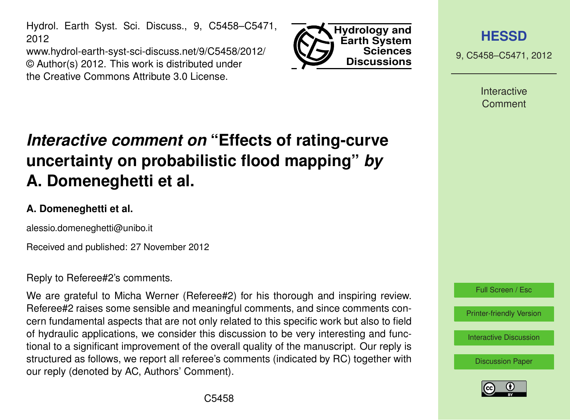Hydrol. Earth Syst. Sci. Discuss., 9, C5458–C5471, 2012

www.hydrol-earth-syst-sci-discuss.net/9/C5458/2012/ © Author(s) 2012. This work is distributed under the Creative Commons Attribute 3.0 License.



**[HESSD](http://www.hydrol-earth-syst-sci-discuss.net)**

9, C5458–C5471, 2012

Interactive Comment

# *Interactive comment on* **"Effects of rating-curve uncertainty on probabilistic flood mapping"** *by* **A. Domeneghetti et al.**

## **A. Domeneghetti et al.**

alessio.domeneghetti@unibo.it

Received and published: 27 November 2012

Reply to Referee#2's comments.

We are grateful to Micha Werner (Referee#2) for his thorough and inspiring review. Referee#2 raises some sensible and meaningful comments, and since comments concern fundamental aspects that are not only related to this specific work but also to field of hydraulic applications, we consider this discussion to be very interesting and functional to a significant improvement of the overall quality of the manuscript. Our reply is structured as follows, we report all referee's comments (indicated by RC) together with our reply (denoted by AC, Authors' Comment).



Full Screen / Esc

[Printer-friendly Version](http://www.hydrol-earth-syst-sci-discuss.net/9/C5458/2012/hessd-9-C5458-2012-print.pdf)

[Interactive Discussion](http://www.hydrol-earth-syst-sci-discuss.net/9/9809/2012/hessd-9-9809-2012-discussion.html)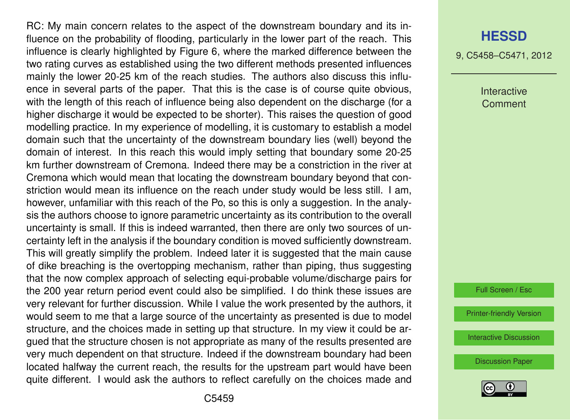RC: My main concern relates to the aspect of the downstream boundary and its influence on the probability of flooding, particularly in the lower part of the reach. This influence is clearly highlighted by Figure 6, where the marked difference between the two rating curves as established using the two different methods presented influences mainly the lower 20-25 km of the reach studies. The authors also discuss this influence in several parts of the paper. That this is the case is of course quite obvious, with the length of this reach of influence being also dependent on the discharge (for a higher discharge it would be expected to be shorter). This raises the question of good modelling practice. In my experience of modelling, it is customary to establish a model domain such that the uncertainty of the downstream boundary lies (well) beyond the domain of interest. In this reach this would imply setting that boundary some 20-25 km further downstream of Cremona. Indeed there may be a constriction in the river at Cremona which would mean that locating the downstream boundary beyond that constriction would mean its influence on the reach under study would be less still. I am, however, unfamiliar with this reach of the Po, so this is only a suggestion. In the analysis the authors choose to ignore parametric uncertainty as its contribution to the overall uncertainty is small. If this is indeed warranted, then there are only two sources of uncertainty left in the analysis if the boundary condition is moved sufficiently downstream. This will greatly simplify the problem. Indeed later it is suggested that the main cause of dike breaching is the overtopping mechanism, rather than piping, thus suggesting that the now complex approach of selecting equi-probable volume/discharge pairs for the 200 year return period event could also be simplified. I do think these issues are very relevant for further discussion. While I value the work presented by the authors, it would seem to me that a large source of the uncertainty as presented is due to model structure, and the choices made in setting up that structure. In my view it could be argued that the structure chosen is not appropriate as many of the results presented are very much dependent on that structure. Indeed if the downstream boundary had been located halfway the current reach, the results for the upstream part would have been quite different. I would ask the authors to reflect carefully on the choices made and

#### **[HESSD](http://www.hydrol-earth-syst-sci-discuss.net)**

9, C5458–C5471, 2012

Interactive Comment

Full Screen / Esc

[Printer-friendly Version](http://www.hydrol-earth-syst-sci-discuss.net/9/C5458/2012/hessd-9-C5458-2012-print.pdf)

[Interactive Discussion](http://www.hydrol-earth-syst-sci-discuss.net/9/9809/2012/hessd-9-9809-2012-discussion.html)

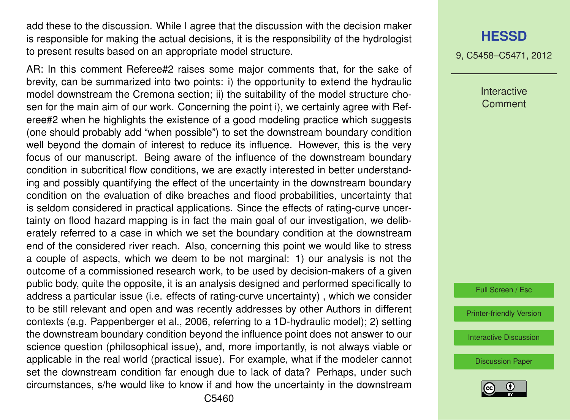add these to the discussion. While I agree that the discussion with the decision maker is responsible for making the actual decisions, it is the responsibility of the hydrologist to present results based on an appropriate model structure.

AR: In this comment Referee#2 raises some major comments that, for the sake of brevity, can be summarized into two points: i) the opportunity to extend the hydraulic model downstream the Cremona section; ii) the suitability of the model structure chosen for the main aim of our work. Concerning the point i), we certainly agree with Referee#2 when he highlights the existence of a good modeling practice which suggests (one should probably add "when possible") to set the downstream boundary condition well beyond the domain of interest to reduce its influence. However, this is the very focus of our manuscript. Being aware of the influence of the downstream boundary condition in subcritical flow conditions, we are exactly interested in better understanding and possibly quantifying the effect of the uncertainty in the downstream boundary condition on the evaluation of dike breaches and flood probabilities, uncertainty that is seldom considered in practical applications. Since the effects of rating-curve uncertainty on flood hazard mapping is in fact the main goal of our investigation, we deliberately referred to a case in which we set the boundary condition at the downstream end of the considered river reach. Also, concerning this point we would like to stress a couple of aspects, which we deem to be not marginal: 1) our analysis is not the outcome of a commissioned research work, to be used by decision-makers of a given public body, quite the opposite, it is an analysis designed and performed specifically to address a particular issue (i.e. effects of rating-curve uncertainty) , which we consider to be still relevant and open and was recently addresses by other Authors in different contexts (e.g. Pappenberger et al., 2006, referring to a 1D-hydraulic model); 2) setting the downstream boundary condition beyond the influence point does not answer to our science question (philosophical issue), and, more importantly, is not always viable or applicable in the real world (practical issue). For example, what if the modeler cannot set the downstream condition far enough due to lack of data? Perhaps, under such circumstances, s/he would like to know if and how the uncertainty in the downstream

#### **[HESSD](http://www.hydrol-earth-syst-sci-discuss.net)**

9, C5458–C5471, 2012

Interactive **Comment** 

Full Screen / Esc

[Printer-friendly Version](http://www.hydrol-earth-syst-sci-discuss.net/9/C5458/2012/hessd-9-C5458-2012-print.pdf)

[Interactive Discussion](http://www.hydrol-earth-syst-sci-discuss.net/9/9809/2012/hessd-9-9809-2012-discussion.html)

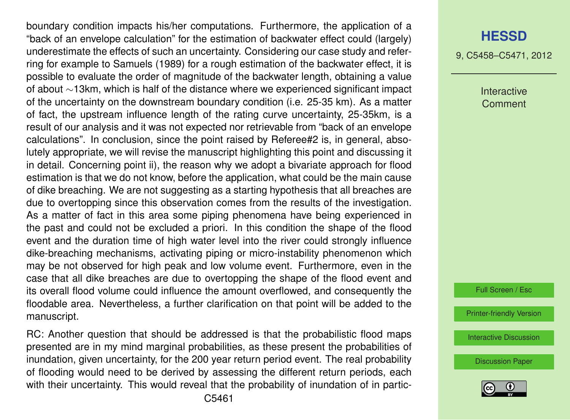boundary condition impacts his/her computations. Furthermore, the application of a "back of an envelope calculation" for the estimation of backwater effect could (largely) underestimate the effects of such an uncertainty. Considering our case study and referring for example to Samuels (1989) for a rough estimation of the backwater effect, it is possible to evaluate the order of magnitude of the backwater length, obtaining a value of about ∼13km, which is half of the distance where we experienced significant impact of the uncertainty on the downstream boundary condition (i.e. 25-35 km). As a matter of fact, the upstream influence length of the rating curve uncertainty, 25-35km, is a result of our analysis and it was not expected nor retrievable from "back of an envelope calculations". In conclusion, since the point raised by Referee#2 is, in general, absolutely appropriate, we will revise the manuscript highlighting this point and discussing it in detail. Concerning point ii), the reason why we adopt a bivariate approach for flood estimation is that we do not know, before the application, what could be the main cause of dike breaching. We are not suggesting as a starting hypothesis that all breaches are due to overtopping since this observation comes from the results of the investigation. As a matter of fact in this area some piping phenomena have being experienced in the past and could not be excluded a priori. In this condition the shape of the flood event and the duration time of high water level into the river could strongly influence dike-breaching mechanisms, activating piping or micro-instability phenomenon which may be not observed for high peak and low volume event. Furthermore, even in the case that all dike breaches are due to overtopping the shape of the flood event and its overall flood volume could influence the amount overflowed, and consequently the floodable area. Nevertheless, a further clarification on that point will be added to the manuscript.

RC: Another question that should be addressed is that the probabilistic flood maps presented are in my mind marginal probabilities, as these present the probabilities of inundation, given uncertainty, for the 200 year return period event. The real probability of flooding would need to be derived by assessing the different return periods, each with their uncertainty. This would reveal that the probability of inundation of in partic-

#### **[HESSD](http://www.hydrol-earth-syst-sci-discuss.net)**

9, C5458–C5471, 2012

Interactive Comment

Full Screen / Esc

[Printer-friendly Version](http://www.hydrol-earth-syst-sci-discuss.net/9/C5458/2012/hessd-9-C5458-2012-print.pdf)

[Interactive Discussion](http://www.hydrol-earth-syst-sci-discuss.net/9/9809/2012/hessd-9-9809-2012-discussion.html)

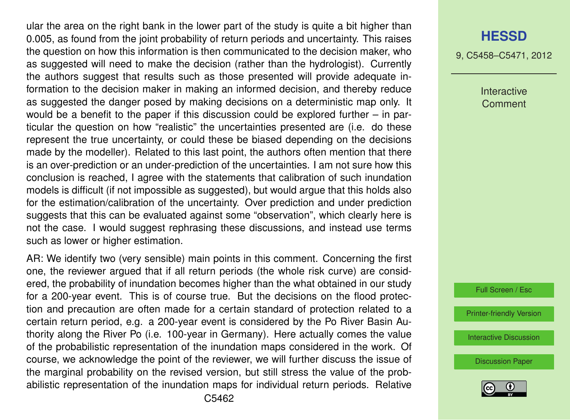ular the area on the right bank in the lower part of the study is quite a bit higher than 0.005, as found from the joint probability of return periods and uncertainty. This raises the question on how this information is then communicated to the decision maker, who as suggested will need to make the decision (rather than the hydrologist). Currently the authors suggest that results such as those presented will provide adequate information to the decision maker in making an informed decision, and thereby reduce as suggested the danger posed by making decisions on a deterministic map only. It would be a benefit to the paper if this discussion could be explored further – in particular the question on how "realistic" the uncertainties presented are (i.e. do these represent the true uncertainty, or could these be biased depending on the decisions made by the modeller). Related to this last point, the authors often mention that there is an over-prediction or an under-prediction of the uncertainties. I am not sure how this conclusion is reached, I agree with the statements that calibration of such inundation models is difficult (if not impossible as suggested), but would argue that this holds also for the estimation/calibration of the uncertainty. Over prediction and under prediction suggests that this can be evaluated against some "observation", which clearly here is not the case. I would suggest rephrasing these discussions, and instead use terms such as lower or higher estimation.

AR: We identify two (very sensible) main points in this comment. Concerning the first one, the reviewer argued that if all return periods (the whole risk curve) are considered, the probability of inundation becomes higher than the what obtained in our study for a 200-year event. This is of course true. But the decisions on the flood protection and precaution are often made for a certain standard of protection related to a certain return period, e.g. a 200-year event is considered by the Po River Basin Authority along the River Po (i.e. 100-year in Germany). Here actually comes the value of the probabilistic representation of the inundation maps considered in the work. Of course, we acknowledge the point of the reviewer, we will further discuss the issue of the marginal probability on the revised version, but still stress the value of the probabilistic representation of the inundation maps for individual return periods. Relative

#### **[HESSD](http://www.hydrol-earth-syst-sci-discuss.net)**

9, C5458–C5471, 2012

Interactive **Comment** 

Full Screen / Esc

[Printer-friendly Version](http://www.hydrol-earth-syst-sci-discuss.net/9/C5458/2012/hessd-9-C5458-2012-print.pdf)

[Interactive Discussion](http://www.hydrol-earth-syst-sci-discuss.net/9/9809/2012/hessd-9-9809-2012-discussion.html)

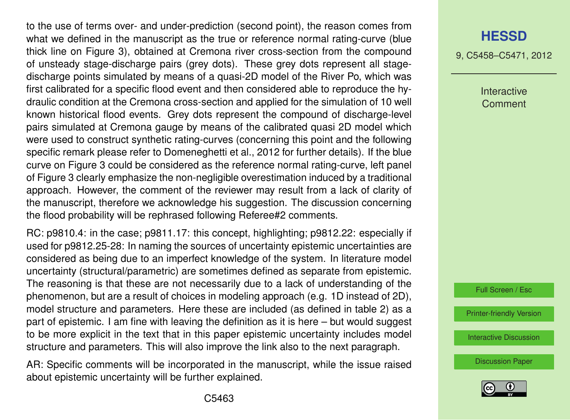to the use of terms over- and under-prediction (second point), the reason comes from what we defined in the manuscript as the true or reference normal rating-curve (blue thick line on Figure 3), obtained at Cremona river cross-section from the compound of unsteady stage-discharge pairs (grey dots). These grey dots represent all stagedischarge points simulated by means of a quasi-2D model of the River Po, which was first calibrated for a specific flood event and then considered able to reproduce the hydraulic condition at the Cremona cross-section and applied for the simulation of 10 well known historical flood events. Grey dots represent the compound of discharge-level pairs simulated at Cremona gauge by means of the calibrated quasi 2D model which were used to construct synthetic rating-curves (concerning this point and the following specific remark please refer to Domeneghetti et al., 2012 for further details). If the blue curve on Figure 3 could be considered as the reference normal rating-curve, left panel of Figure 3 clearly emphasize the non-negligible overestimation induced by a traditional approach. However, the comment of the reviewer may result from a lack of clarity of the manuscript, therefore we acknowledge his suggestion. The discussion concerning the flood probability will be rephrased following Referee#2 comments.

RC: p9810.4: in the case; p9811.17: this concept, highlighting; p9812.22: especially if used for p9812.25-28: In naming the sources of uncertainty epistemic uncertainties are considered as being due to an imperfect knowledge of the system. In literature model uncertainty (structural/parametric) are sometimes defined as separate from epistemic. The reasoning is that these are not necessarily due to a lack of understanding of the phenomenon, but are a result of choices in modeling approach (e.g. 1D instead of 2D), model structure and parameters. Here these are included (as defined in table 2) as a part of epistemic. I am fine with leaving the definition as it is here – but would suggest to be more explicit in the text that in this paper epistemic uncertainty includes model structure and parameters. This will also improve the link also to the next paragraph.

AR: Specific comments will be incorporated in the manuscript, while the issue raised about epistemic uncertainty will be further explained.

## **[HESSD](http://www.hydrol-earth-syst-sci-discuss.net)**

9, C5458–C5471, 2012

Interactive Comment

Full Screen / Esc

[Printer-friendly Version](http://www.hydrol-earth-syst-sci-discuss.net/9/C5458/2012/hessd-9-C5458-2012-print.pdf)

[Interactive Discussion](http://www.hydrol-earth-syst-sci-discuss.net/9/9809/2012/hessd-9-9809-2012-discussion.html)

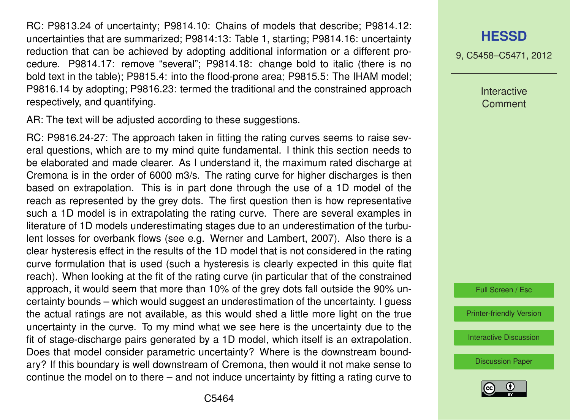RC: P9813.24 of uncertainty; P9814.10: Chains of models that describe; P9814.12: uncertainties that are summarized; P9814:13: Table 1, starting; P9814.16: uncertainty reduction that can be achieved by adopting additional information or a different procedure. P9814.17: remove "several"; P9814.18: change bold to italic (there is no bold text in the table); P9815.4: into the flood-prone area; P9815.5: The IHAM model; P9816.14 by adopting; P9816.23: termed the traditional and the constrained approach respectively, and quantifying.

AR: The text will be adjusted according to these suggestions.

RC: P9816.24-27: The approach taken in fitting the rating curves seems to raise several questions, which are to my mind quite fundamental. I think this section needs to be elaborated and made clearer. As I understand it, the maximum rated discharge at Cremona is in the order of 6000 m3/s. The rating curve for higher discharges is then based on extrapolation. This is in part done through the use of a 1D model of the reach as represented by the grey dots. The first question then is how representative such a 1D model is in extrapolating the rating curve. There are several examples in literature of 1D models underestimating stages due to an underestimation of the turbulent losses for overbank flows (see e.g. Werner and Lambert, 2007). Also there is a clear hysteresis effect in the results of the 1D model that is not considered in the rating curve formulation that is used (such a hysteresis is clearly expected in this quite flat reach). When looking at the fit of the rating curve (in particular that of the constrained approach, it would seem that more than 10% of the grey dots fall outside the 90% uncertainty bounds – which would suggest an underestimation of the uncertainty. I guess the actual ratings are not available, as this would shed a little more light on the true uncertainty in the curve. To my mind what we see here is the uncertainty due to the fit of stage-discharge pairs generated by a 1D model, which itself is an extrapolation. Does that model consider parametric uncertainty? Where is the downstream boundary? If this boundary is well downstream of Cremona, then would it not make sense to continue the model on to there – and not induce uncertainty by fitting a rating curve to **[HESSD](http://www.hydrol-earth-syst-sci-discuss.net)**

9, C5458–C5471, 2012

Interactive **Comment** 

Full Screen / Esc

[Printer-friendly Version](http://www.hydrol-earth-syst-sci-discuss.net/9/C5458/2012/hessd-9-C5458-2012-print.pdf)

[Interactive Discussion](http://www.hydrol-earth-syst-sci-discuss.net/9/9809/2012/hessd-9-9809-2012-discussion.html)

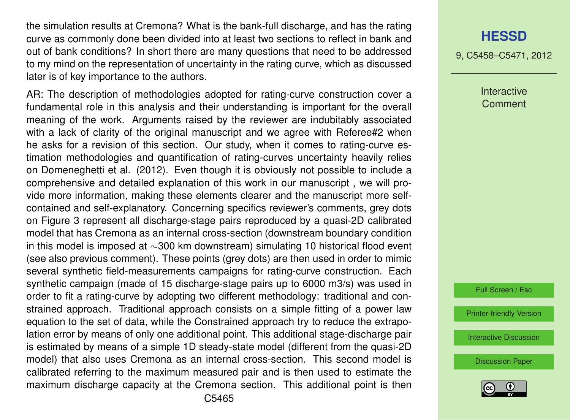the simulation results at Cremona? What is the bank-full discharge, and has the rating curve as commonly done been divided into at least two sections to reflect in bank and out of bank conditions? In short there are many questions that need to be addressed to my mind on the representation of uncertainty in the rating curve, which as discussed later is of key importance to the authors.

AR: The description of methodologies adopted for rating-curve construction cover a fundamental role in this analysis and their understanding is important for the overall meaning of the work. Arguments raised by the reviewer are indubitably associated with a lack of clarity of the original manuscript and we agree with Referee#2 when he asks for a revision of this section. Our study, when it comes to rating-curve estimation methodologies and quantification of rating-curves uncertainty heavily relies on Domeneghetti et al. (2012). Even though it is obviously not possible to include a comprehensive and detailed explanation of this work in our manuscript , we will provide more information, making these elements clearer and the manuscript more selfcontained and self-explanatory. Concerning specifics reviewer's comments, grey dots on Figure 3 represent all discharge-stage pairs reproduced by a quasi-2D calibrated model that has Cremona as an internal cross-section (downstream boundary condition in this model is imposed at ∼300 km downstream) simulating 10 historical flood event (see also previous comment). These points (grey dots) are then used in order to mimic several synthetic field-measurements campaigns for rating-curve construction. Each synthetic campaign (made of 15 discharge-stage pairs up to 6000 m3/s) was used in order to fit a rating-curve by adopting two different methodology: traditional and constrained approach. Traditional approach consists on a simple fitting of a power law equation to the set of data, while the Constrained approach try to reduce the extrapolation error by means of only one additional point. This additional stage-discharge pair is estimated by means of a simple 1D steady-state model (different from the quasi-2D model) that also uses Cremona as an internal cross-section. This second model is calibrated referring to the maximum measured pair and is then used to estimate the maximum discharge capacity at the Cremona section. This additional point is then

## **[HESSD](http://www.hydrol-earth-syst-sci-discuss.net)**

9, C5458–C5471, 2012

Interactive **Comment** 

Full Screen / Esc

[Printer-friendly Version](http://www.hydrol-earth-syst-sci-discuss.net/9/C5458/2012/hessd-9-C5458-2012-print.pdf)

[Interactive Discussion](http://www.hydrol-earth-syst-sci-discuss.net/9/9809/2012/hessd-9-9809-2012-discussion.html)

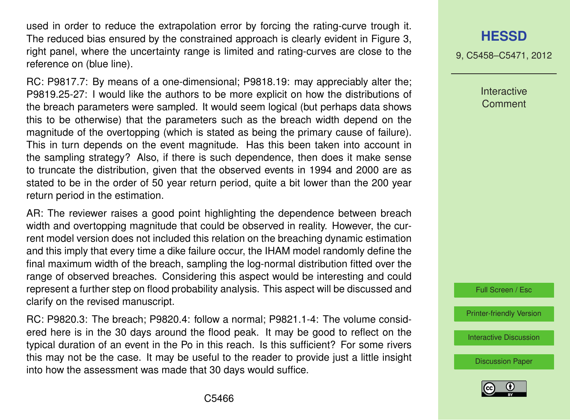used in order to reduce the extrapolation error by forcing the rating-curve trough it. The reduced bias ensured by the constrained approach is clearly evident in Figure 3, right panel, where the uncertainty range is limited and rating-curves are close to the reference on (blue line).

RC: P9817.7: By means of a one-dimensional; P9818.19: may appreciably alter the; P9819.25-27: I would like the authors to be more explicit on how the distributions of the breach parameters were sampled. It would seem logical (but perhaps data shows this to be otherwise) that the parameters such as the breach width depend on the magnitude of the overtopping (which is stated as being the primary cause of failure). This in turn depends on the event magnitude. Has this been taken into account in the sampling strategy? Also, if there is such dependence, then does it make sense to truncate the distribution, given that the observed events in 1994 and 2000 are as stated to be in the order of 50 year return period, quite a bit lower than the 200 year return period in the estimation.

AR: The reviewer raises a good point highlighting the dependence between breach width and overtopping magnitude that could be observed in reality. However, the current model version does not included this relation on the breaching dynamic estimation and this imply that every time a dike failure occur, the IHAM model randomly define the final maximum width of the breach, sampling the log-normal distribution fitted over the range of observed breaches. Considering this aspect would be interesting and could represent a further step on flood probability analysis. This aspect will be discussed and clarify on the revised manuscript.

RC: P9820.3: The breach; P9820.4: follow a normal; P9821.1-4: The volume considered here is in the 30 days around the flood peak. It may be good to reflect on the typical duration of an event in the Po in this reach. Is this sufficient? For some rivers this may not be the case. It may be useful to the reader to provide just a little insight into how the assessment was made that 30 days would suffice.

## **[HESSD](http://www.hydrol-earth-syst-sci-discuss.net)**

9, C5458–C5471, 2012

Interactive Comment

Full Screen / Esc

[Printer-friendly Version](http://www.hydrol-earth-syst-sci-discuss.net/9/C5458/2012/hessd-9-C5458-2012-print.pdf)

[Interactive Discussion](http://www.hydrol-earth-syst-sci-discuss.net/9/9809/2012/hessd-9-9809-2012-discussion.html)

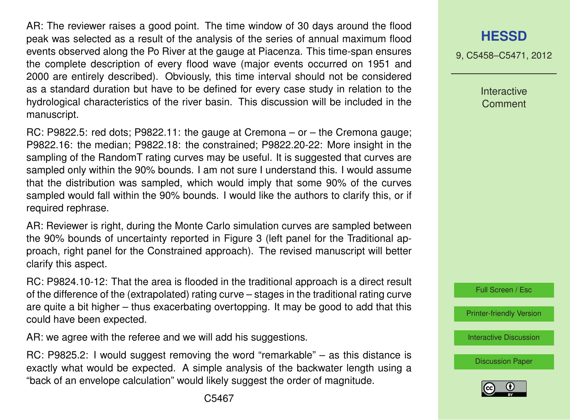AR: The reviewer raises a good point. The time window of 30 days around the flood peak was selected as a result of the analysis of the series of annual maximum flood events observed along the Po River at the gauge at Piacenza. This time-span ensures the complete description of every flood wave (major events occurred on 1951 and 2000 are entirely described). Obviously, this time interval should not be considered as a standard duration but have to be defined for every case study in relation to the hydrological characteristics of the river basin. This discussion will be included in the manuscript.

RC: P9822.5: red dots; P9822.11: the gauge at Cremona – or – the Cremona gauge; P9822.16: the median; P9822.18: the constrained; P9822.20-22: More insight in the sampling of the RandomT rating curves may be useful. It is suggested that curves are sampled only within the 90% bounds. I am not sure I understand this. I would assume that the distribution was sampled, which would imply that some 90% of the curves sampled would fall within the 90% bounds. I would like the authors to clarify this, or if required rephrase.

AR: Reviewer is right, during the Monte Carlo simulation curves are sampled between the 90% bounds of uncertainty reported in Figure 3 (left panel for the Traditional approach, right panel for the Constrained approach). The revised manuscript will better clarify this aspect.

RC: P9824.10-12: That the area is flooded in the traditional approach is a direct result of the difference of the (extrapolated) rating curve – stages in the traditional rating curve are quite a bit higher – thus exacerbating overtopping. It may be good to add that this could have been expected.

AR: we agree with the referee and we will add his suggestions.

RC: P9825.2: I would suggest removing the word "remarkable" – as this distance is exactly what would be expected. A simple analysis of the backwater length using a "back of an envelope calculation" would likely suggest the order of magnitude.

9, C5458–C5471, 2012

Interactive **Comment** 



[Printer-friendly Version](http://www.hydrol-earth-syst-sci-discuss.net/9/C5458/2012/hessd-9-C5458-2012-print.pdf)

[Interactive Discussion](http://www.hydrol-earth-syst-sci-discuss.net/9/9809/2012/hessd-9-9809-2012-discussion.html)

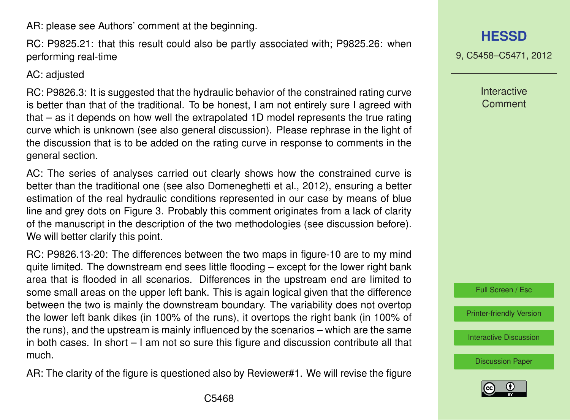AR: please see Authors' comment at the beginning.

RC: P9825.21: that this result could also be partly associated with; P9825.26: when performing real-time

AC: adjusted

RC: P9826.3: It is suggested that the hydraulic behavior of the constrained rating curve is better than that of the traditional. To be honest, I am not entirely sure I agreed with that – as it depends on how well the extrapolated 1D model represents the true rating curve which is unknown (see also general discussion). Please rephrase in the light of the discussion that is to be added on the rating curve in response to comments in the general section.

AC: The series of analyses carried out clearly shows how the constrained curve is better than the traditional one (see also Domeneghetti et al., 2012), ensuring a better estimation of the real hydraulic conditions represented in our case by means of blue line and grey dots on Figure 3. Probably this comment originates from a lack of clarity of the manuscript in the description of the two methodologies (see discussion before). We will better clarify this point.

RC: P9826.13-20: The differences between the two maps in figure-10 are to my mind quite limited. The downstream end sees little flooding – except for the lower right bank area that is flooded in all scenarios. Differences in the upstream end are limited to some small areas on the upper left bank. This is again logical given that the difference between the two is mainly the downstream boundary. The variability does not overtop the lower left bank dikes (in 100% of the runs), it overtops the right bank (in 100% of the runs), and the upstream is mainly influenced by the scenarios – which are the same in both cases. In short – I am not so sure this figure and discussion contribute all that much.

AR: The clarity of the figure is questioned also by Reviewer#1. We will revise the figure

**[HESSD](http://www.hydrol-earth-syst-sci-discuss.net)**

9, C5458–C5471, 2012

**Interactive Comment** 

Full Screen / Esc

[Printer-friendly Version](http://www.hydrol-earth-syst-sci-discuss.net/9/C5458/2012/hessd-9-C5458-2012-print.pdf)

[Interactive Discussion](http://www.hydrol-earth-syst-sci-discuss.net/9/9809/2012/hessd-9-9809-2012-discussion.html)

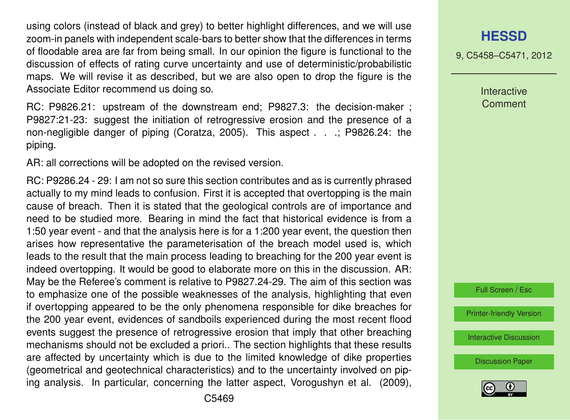using colors (instead of black and grey) to better highlight differences, and we will use zoom-in panels with independent scale-bars to better show that the differences in terms of floodable area are far from being small. In our opinion the figure is functional to the discussion of effects of rating curve uncertainty and use of deterministic/probabilistic maps. We will revise it as described, but we are also open to drop the figure is the Associate Editor recommend us doing so.

RC: P9826.21: upstream of the downstream end; P9827.3: the decision-maker ; P9827:21-23: suggest the initiation of retrogressive erosion and the presence of a non-negligible danger of piping (Coratza, 2005). This aspect . . .; P9826.24: the piping.

AR: all corrections will be adopted on the revised version.

RC: P9286.24 - 29: I am not so sure this section contributes and as is currently phrased actually to my mind leads to confusion. First it is accepted that overtopping is the main cause of breach. Then it is stated that the geological controls are of importance and need to be studied more. Bearing in mind the fact that historical evidence is from a 1:50 year event - and that the analysis here is for a 1:200 year event, the question then arises how representative the parameterisation of the breach model used is, which leads to the result that the main process leading to breaching for the 200 year event is indeed overtopping. It would be good to elaborate more on this in the discussion. AR: May be the Referee's comment is relative to P9827.24-29. The aim of this section was to emphasize one of the possible weaknesses of the analysis, highlighting that even if overtopping appeared to be the only phenomena responsible for dike breaches for the 200 year event, evidences of sandboils experienced during the most recent flood events suggest the presence of retrogressive erosion that imply that other breaching mechanisms should not be excluded a priori.. The section highlights that these results are affected by uncertainty which is due to the limited knowledge of dike properties (geometrical and geotechnical characteristics) and to the uncertainty involved on piping analysis. In particular, concerning the latter aspect, Vorogushyn et al. (2009), 9, C5458–C5471, 2012

Interactive **Comment** 

Full Screen / Esc

[Printer-friendly Version](http://www.hydrol-earth-syst-sci-discuss.net/9/C5458/2012/hessd-9-C5458-2012-print.pdf)

[Interactive Discussion](http://www.hydrol-earth-syst-sci-discuss.net/9/9809/2012/hessd-9-9809-2012-discussion.html)

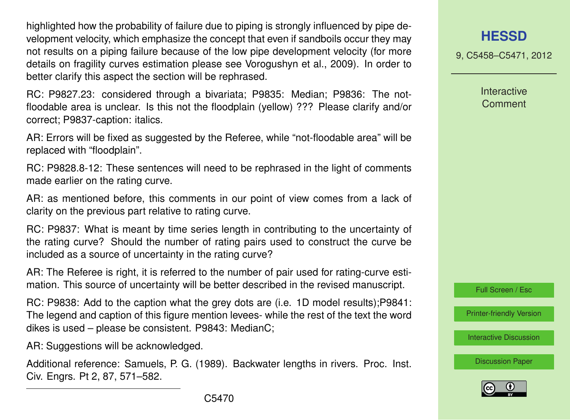highlighted how the probability of failure due to piping is strongly influenced by pipe development velocity, which emphasize the concept that even if sandboils occur they may not results on a piping failure because of the low pipe development velocity (for more details on fragility curves estimation please see Vorogushyn et al., 2009). In order to better clarify this aspect the section will be rephrased.

RC: P9827.23: considered through a bivariata; P9835: Median; P9836: The notfloodable area is unclear. Is this not the floodplain (yellow) ??? Please clarify and/or correct; P9837-caption: italics.

AR: Errors will be fixed as suggested by the Referee, while "not-floodable area" will be replaced with "floodplain".

RC: P9828.8-12: These sentences will need to be rephrased in the light of comments made earlier on the rating curve.

AR: as mentioned before, this comments in our point of view comes from a lack of clarity on the previous part relative to rating curve.

RC: P9837: What is meant by time series length in contributing to the uncertainty of the rating curve? Should the number of rating pairs used to construct the curve be included as a source of uncertainty in the rating curve?

AR: The Referee is right, it is referred to the number of pair used for rating-curve estimation. This source of uncertainty will be better described in the revised manuscript.

RC: P9838: Add to the caption what the grey dots are (i.e. 1D model results);P9841: The legend and caption of this figure mention levees- while the rest of the text the word dikes is used – please be consistent. P9843: MedianC;

AR: Suggestions will be acknowledged.

Additional reference: Samuels, P. G. (1989). Backwater lengths in rivers. Proc. Inst. Civ. Engrs. Pt 2, 87, 571–582.

9, C5458–C5471, 2012

**Interactive Comment** 



[Printer-friendly Version](http://www.hydrol-earth-syst-sci-discuss.net/9/C5458/2012/hessd-9-C5458-2012-print.pdf)

[Interactive Discussion](http://www.hydrol-earth-syst-sci-discuss.net/9/9809/2012/hessd-9-9809-2012-discussion.html)